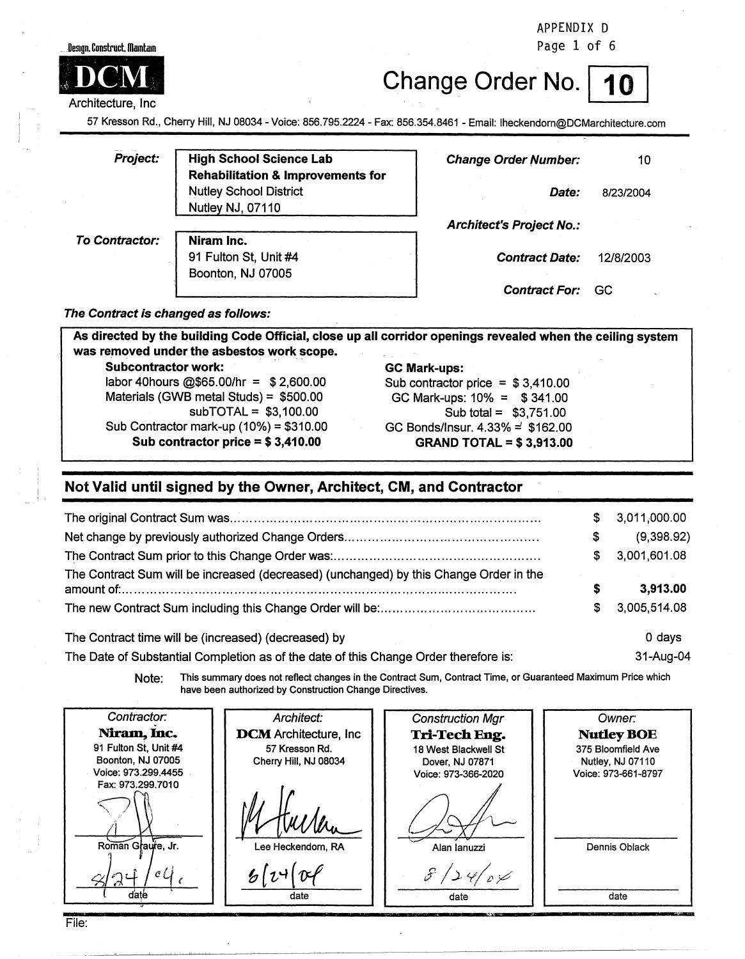#### ..• DeSJgn. Construct lllaml:am



Architecture, Inc

# Change Order No.

31-Aug-04

APPENDIX D Page 1 of 6

57 Kresson Rd., Cherry Hill, NJ 08034 - Voice: 856.795.2224 - Fax: 856.354.8461 - Email: lheckendorn@DCMarchitecture.com

| Project:       | <b>High School Science Lab</b>               | <b>Change Order Number:</b>     | 10        |  |
|----------------|----------------------------------------------|---------------------------------|-----------|--|
|                | <b>Rehabilitation &amp; Improvements for</b> |                                 |           |  |
|                | <b>Nutley School District</b>                | <i>Date:</i>                    | 8/23/2004 |  |
|                | Nutley NJ, 07110                             |                                 |           |  |
|                |                                              | <b>Architect's Project No.:</b> |           |  |
| To Contractor: | Niram Inc.                                   |                                 |           |  |
|                | 91 Fulton St, Unit #4                        | <b>Contract Date:</b>           | 12/8/2003 |  |
|                | Boonton, NJ 07005                            |                                 |           |  |
|                |                                              | <b>Contract For:</b>            | -GC       |  |

**The Contract is changed as follows:** 

| <b>Subcontractor work:</b>               | <b>GC Mark-ups:</b>                |
|------------------------------------------|------------------------------------|
| labor 40 hours @\$65.00/hr = $$2,600.00$ | Sub contractor price = $$3,410.00$ |
| Materials (GWB metal Studs) = $$500.00$  | GC Mark-ups: $10\% = $341.00$      |
| $subTOTAL = $3,100.00$                   | Sub total = $$3,751.00$            |
| Sub Contractor mark-up $(10%) = $310.00$ | GC Bonds/Insur. $4.33\% = $162.00$ |
| Sub contractor price = $$3,410.00$       | <b>GRAND TOTAL = \$3,913.00</b>    |

#### **Not Valid until signed by the Owner, Architect, CM, and Contractor**

|                                                                                        | S. | 3,011,000.00 |
|----------------------------------------------------------------------------------------|----|--------------|
|                                                                                        | S  | (9,398.92)   |
|                                                                                        | S. | 3,001,601.08 |
| The Contract Sum will be increased (decreased) (unchanged) by this Change Order in the | s  | 3,913.00     |
|                                                                                        | S  | 3,005,514.08 |
| The Contract time will be (increased) (decreased) by                                   |    | 0 davs       |

The Date of Substantial Completion as of the date of this Change Order therefore is:

**Note:** This summary does not reflect changes in the Contract Sum, Contract Time, or Guaranteed Maximum Price which have been authorized· by Construction Change Directives.

Contractor. Architect: Construction Mgr Owner: Niram, Inc. **DCM** Architecture, Inc **Tri-Tech Eng. NudeyBOE**  91 Fulton St, Unit #4 57 Kresson Rd. 375 Bloomfield Ave 18 West Blackwell St 57 Kresson Rd.<br>
Cherry Hill, NJ 08034<br>
Dover, NJ 078<br>
Voice: 973-366-2<br>
Voice: 973-366-2<br>
Voice: 973-366-2<br>
Voice: 973-366-2<br>
Alan lanuzz Boonton, NJ 07005 Cherry Hill, NJ 08034 **Nutley, NJ 07110** Dover, NJ 07871 Voice: 973.299.4455 . Voice: 973-366-2020 Voice: 973-661-8797 Voice: 973-366-2020 Fax: 973.299.7010 Roman Graufe, Jr. Dennis Oblack Alan Ianuzzi  $\Delta \, \varphi$ D سمز ہے' date date date and date date

File: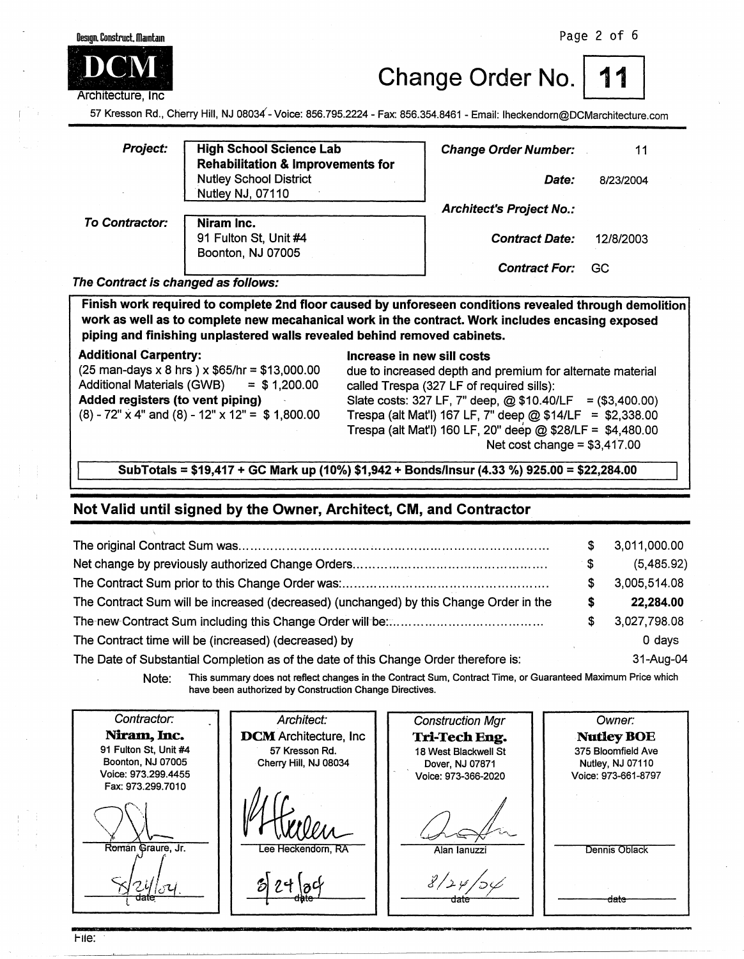

**Change Order No.** 

57 Kresson Rd., Cherry Hill, NJ 08034 - Voice: 856.795.2224 -Fax: 856.354.8461 - Email: lheckendorn@DCMarchitecture.com

| <b>Project:</b>       | <b>High School Science Lab</b><br><b>Rehabilitation &amp; Improvements for</b> | <b>Change Order Number:</b>     | 11        |  |
|-----------------------|--------------------------------------------------------------------------------|---------------------------------|-----------|--|
|                       | <b>Nutley School District</b>                                                  | Date:                           | 8/23/2004 |  |
|                       | Nutley NJ, 07110                                                               |                                 |           |  |
|                       |                                                                                | <b>Architect's Project No.:</b> |           |  |
| <b>To Contractor:</b> | Niram Inc.                                                                     |                                 |           |  |
|                       | 91 Fulton St, Unit #4                                                          | <b>Contract Date:</b>           | 12/8/2003 |  |
|                       | Boonton, NJ 07005                                                              |                                 |           |  |
|                       |                                                                                | <b>Contract For:</b>            | GC        |  |

**The Contract is changed as follows:** 

**Finish work required to complete 2nd floor caused by unforeseen conditions revealed through demolition work as well as to complete new mecahanical work in the contract. Work includes encasing exposed piping and finishing unplastered walls revealed behind removed cabinets.** 

Additional Carpentry:<br>(25 man-days x 8 hrs ) x \$65/hr = \$13,000.00 due to increased depth and Additional Materials (GWB) = \$ 1,200.00 called Trespa (327 LF of required sills):

due to increased depth and premium for alternate material **Added registers (to vent piping)** Slate costs: 327 LF, 7" deep, @\$10.40/LF = (\$3,400.00)<br>(8) - 72" x 4" and (8) - 12" x 12" = \$1,800.00 Trespa (alt Mat'l) 167 LF. 7" deep @\$14/LF = \$2,338.00 Trespa (alt Mat'l) 167 LF, 7" deep @ \$14/LF = \$2,338.00 Trespa (alt Mat'I) 160 LF, 20" deep@ \$28/LF = \$4,480.00 Net cost change  $= $3,417.00$ 

**SubTotals** = **\$19,417** + **GC Mark up (10%) \$1,942** + **Bonds/Insur (4.33** %) **925.00** = **\$22,284.00** 

#### **Not Valid until signed by the Owner, Architect, CM, and Contractor**

|                                                                                        | S  | 3,011,000.00  |
|----------------------------------------------------------------------------------------|----|---------------|
|                                                                                        | S. | (5,485.92)    |
|                                                                                        | S  | 3,005,514.08  |
| The Contract Sum will be increased (decreased) (unchanged) by this Change Order in the | S  | 22,284.00     |
|                                                                                        | S  | 3,027,798.08  |
| The Contract time will be (increased) (decreased) by                                   |    | 0 days        |
| The Date of Substantial Completion as of the date of this Change Order therefore is:   |    | $31 - Aug-04$ |
|                                                                                        |    |               |

**Note:** This summary does not reflect changes in the Contract Sum, Contract Time, or Guaranteed Maximum Price which have been authorized by Construction Change Directives.

Contractor: Architect: Construction Mgr Owner: Niram, Inc. **DCM** Architecture, Inc. **Tri-Tech Eng. NutleyBOE**  91 Fulton St, Unit #4 57 Kresson Rd. 375 Bloomfield Ave 18 West Blackwell St Boonton, NJ 07005 Cherry Hill, NJ 08034 Dover, NJ 07871 Nutley, NJ 07110 Voice: 973.299.4455 Voice: 973-366-2020 Voice: 973-661-8797 Fax: 973.299.7010 Roman Graure, Jr. Alan Ianuzzi Dennis Oblack date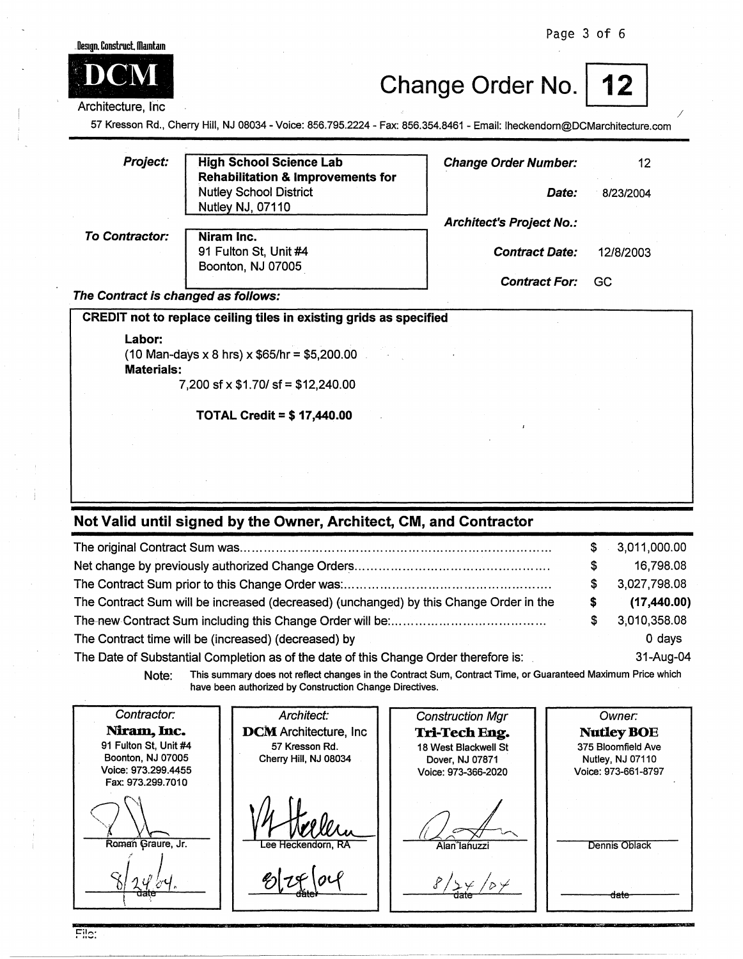Page 3 of 6



#### Architecture, Inc.

## Change Order No. | 12



/

57 Kresson Rd., Cherry Hill, NJ 08034 - Voice: 856.795.2224 - Fax: 856.354.8461 - Email: lheckendorn@DCMarchitecture.com

| <b>Project:</b>                     | <b>High School Science Lab</b><br><b>Rehabilitation &amp; Improvements for</b> | <b>Change Order Number:</b>     | 12        |
|-------------------------------------|--------------------------------------------------------------------------------|---------------------------------|-----------|
|                                     | <b>Nutley School District</b><br>Nutley NJ, 07110                              | Date:                           | 8/23/2004 |
|                                     |                                                                                | <b>Architect's Project No.:</b> |           |
| <b>To Contractor:</b>               | Niram Inc.<br>91 Fulton St, Unit #4<br>Boonton, NJ 07005                       | <b>Contract Date:</b>           | 12/8/2003 |
|                                     |                                                                                | <b>Contract For:</b>            | GC        |
| The Contract is changed as follows: |                                                                                |                                 |           |
|                                     | CREDIT not to replace ceiling tiles in existing grids as specified             |                                 |           |
| Labor:<br><b>Materials:</b>         | $(10$ Man-days x 8 hrs) x \$65/hr = \$5,200.00                                 |                                 |           |
|                                     | $7,200$ sf x \$1.70/ sf = \$12,240.00                                          |                                 |           |
|                                     | <b>TOTAL Credit = \$17,440.00</b>                                              |                                 |           |
|                                     |                                                                                |                                 |           |
|                                     |                                                                                |                                 |           |

#### **Not Valid until signed by the Owner, Architect, CM, and Contractor**

|                                                                                        |   | \$3,011,000.00 |
|----------------------------------------------------------------------------------------|---|----------------|
|                                                                                        | S | 16,798.08      |
|                                                                                        |   | 3,027,798.08   |
| The Contract Sum will be increased (decreased) (unchanged) by this Change Order in the | S | (17, 440.00)   |
|                                                                                        |   | 3,010,358.08   |
| The Contract time will be (increased) (decreased) by                                   |   | 0 days         |
| The Date of Substantial Completion as of the date of this Change Order therefore is:   |   | $31 - Aug-04$  |

**Note:** This summary does not reflect changes in the Contract Sum, Contract Time, or Guaranteed Maximum Price which have been authorized by Construction Change Directives.

Contractor: Architect: Construction Mgr Owner: Niram, Inc. **DCM** Architecture, Inc **Tri-Tech Eng. NutleyBOE**  91 Fulton St, Unit #4 57 Kresson Rd. 18 West Blackwell St 375 Bloomfield Ave Boonton, NJ 07005 Cherry Hill, NJ 08034 Nutley, NJ 07110 Dover, NJ 07871 Voice: 973.299.4455 Voice: 973-366-2020 Voice: 973-661-8797 Fax: 973.299.7010 Roman Graure, Jr. Alan lahuzzi Dennis Oblack ' *i } t?j,* - *I I* ci >-Y- *<sup>I</sup>*t> *·-r-* da te · /  $8/24/24.$ date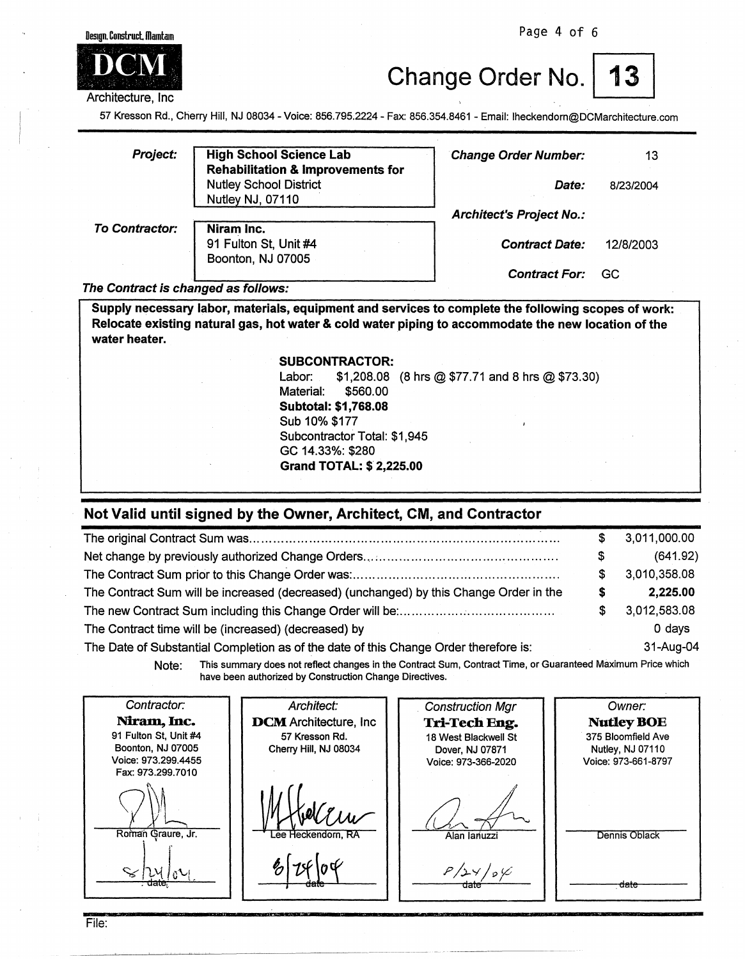Page 4 of 6



Change Order No. | 13

57 Kresson Rd., Clierry Hill, NJ 08034 - Voice: 856.795.2224 - Fax: 856.354.8461 - Email: lheckendorn@DCMarchitecture.com

| Project:              | <b>High School Science Lab</b><br><b>Rehabilitation &amp; Improvements for</b> | <b>Change Order Number:</b>     | 13        |
|-----------------------|--------------------------------------------------------------------------------|---------------------------------|-----------|
|                       | <b>Nutley School District</b><br>Nutley NJ, 07110                              | Date:                           | 8/23/2004 |
|                       |                                                                                | <b>Architect's Project No.:</b> |           |
| <b>To Contractor:</b> | Niram Inc.<br>91 Fulton St, Unit #4<br>Boonton, NJ 07005                       | <b>Contract Date:</b>           | 12/8/2003 |
|                       |                                                                                | <b>Contract For:</b>            | GC        |

#### **The Contract is changed as follows:**

**Supply necessary labor, materials, equipment and services to complete the following scopes of work: Relocate existing natural gas, hot water** & **cold water** piping **to accommodate the new location of** the **water heater.** 

> **SUBCONTRACTOR:**  Labor: \$1,208.08 (8 hrs @ \$77.71 and 8 hrs @ \$73.30) Material: \$560.00 **Subtotal: \$1,768.08**  Sub 10% \$177 Subcontractor Total: \$1,945 GC 14.33%: \$280 **Grand TOTAL:** \$ **2,225.00**

#### **Not Valid until signed by the Owner, Architect, CM, and Contractor**

|                                                                                        |    | 3,011,000.00 |
|----------------------------------------------------------------------------------------|----|--------------|
|                                                                                        | \$ | (641.92)     |
|                                                                                        | S  | 3,010,358.08 |
| The Contract Sum will be increased (decreased) (unchanged) by this Change Order in the |    | 2,225.00     |
|                                                                                        | S  | 3,012,583.08 |
| The Contract time will be (increased) (decreased) by                                   |    | 0 days       |
| The Date of Substantial Completion as of the date of this Change Order therefore is:   |    | 31-Aug-04    |

Note: This summary does not reflect changes in the Contract Sum, Contract Time, or Guaranteed Maximum Price which have been authorized by Construction Change Directives.

Contractor: Architect: . Construction Mgr Owner: Niram, Inc. **DCM** Architecture, Inc. **Tri-Tech Eng. NutleyBOE**  91 Fulton St, Unit #4 57 Kresson Rd. 375 Bloomfield Ave 18 West Blackwell St Boonton, NJ 07005 Cherry Hill, NJ 08034 Dover, NJ 07871 Nutley, NJ 07110 Voice: 973.299.4455 Voice: 973-366-2020 Voice: 973-661-8797 Fax: 973.299.7010 *<u>Anamlanuzzi</u>* Roman Graure, Jr. Alan Ianuzzi Dennis oblack  $\approx$   $\mu$   $\frac{1}{\text{date}}$  o  $P/24/84$ date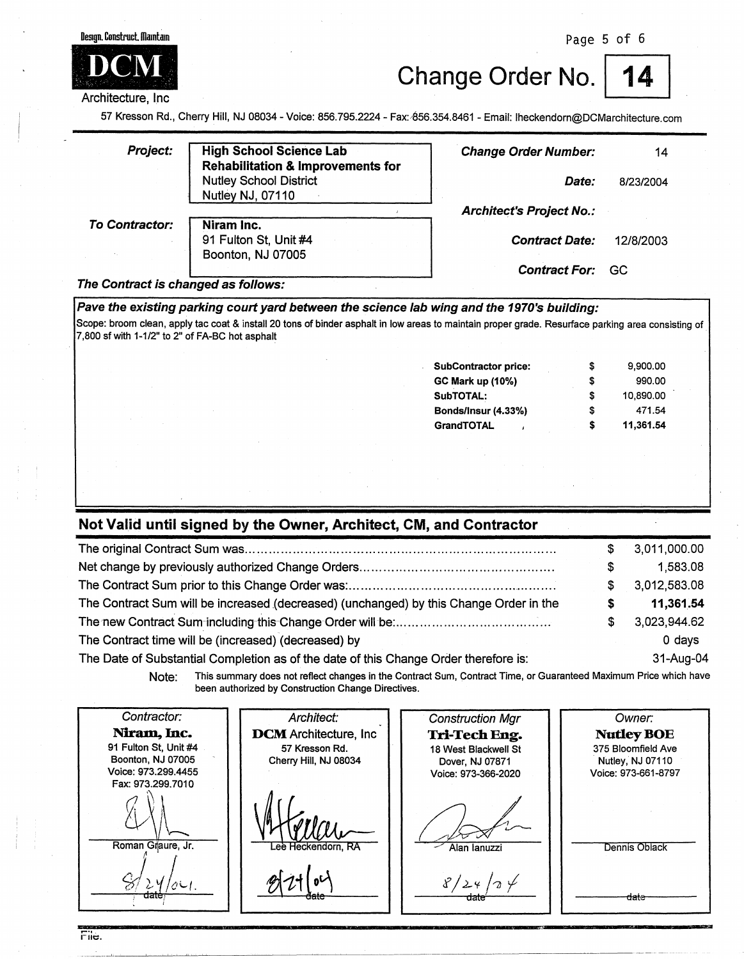

Design, Construct, Maintain

Change Order No.

57 Kresson Rd., Cherry Hill, NJ 08034 -Voice: 856.795.2224 - Fax:.-856.354.8461 - Email: lheckendorn@DCMarchitecture.com

| <b>Project:</b>       | <b>High School Science Lab</b><br><b>Rehabilitation &amp; Improvements for</b><br><b>Nutley School District</b> | <b>Change Order Number:</b><br>Date: | 14<br>8/23/2004 |
|-----------------------|-----------------------------------------------------------------------------------------------------------------|--------------------------------------|-----------------|
| <b>To Contractor:</b> | Nutley NJ, 07110<br>Niram Inc.                                                                                  | <b>Architect's Project No.:</b>      |                 |
|                       | 91 Fulton St, Unit #4<br>Boonton, NJ 07005                                                                      | <b>Contract Date:</b>                | 12/8/2003       |
|                       |                                                                                                                 | <b>Contract For:</b>                 | GC              |

#### **The Contract is changed as follows:**

Pave the existing parking court yard between the science lab wing and the 1970's building: Scope: broom clean, apply tac coat & install 20 tons of binder asphalt in low areas to maintain proper grade. Resurface parking area consisting of. 7,800 sf with 1-1/2" to 2" of FA-BC hot asphalt **Subcontractor price:** \$ 9,900.00 **GC Mark up (10%)** \$ 990.00 **SubTOTAL:** \$ 10,890.00 **Bonds/Insur (4.33%)** \$ 471.54 **GrandTOTAL** \$ **11,361.54** 

## **Not Valid until signed by the Owner, Architect, CM, and Contractor**

|                                                                                        |   | 3,011,000.00 |
|----------------------------------------------------------------------------------------|---|--------------|
|                                                                                        | S | 1,583.08     |
|                                                                                        |   | 3,012,583.08 |
| The Contract Sum will be increased (decreased) (unchanged) by this Change Order in the |   | 11,361.54    |
|                                                                                        |   | 3,023,944.62 |
| The Contract time will be (increased) (decreased) by                                   |   | $0$ days     |
| The Date of Substantial Completion as of the date of this Change Order therefore is:   |   | 31-Aug-04    |

**Note:** This summary does not reflect changes in the Contract Sum, Contract Time, or Guaranteed Maximum Price which have been authorized by Construction Change Directives.

| Contractor:                                | Architect:                   | <b>Construction Mgr</b>                | Owner:                                  |
|--------------------------------------------|------------------------------|----------------------------------------|-----------------------------------------|
| Niram, Inc.                                | <b>DCM</b> Architecture, Inc | Tri-Tech Eng.                          | <b>Nutley BOE</b>                       |
| 91 Fulton St, Unit #4<br>Boonton, NJ 07005 | 57 Kresson Rd.               | 18 West Blackwell St                   | 375 Bloomfield Ave                      |
| Voice: 973.299.4455<br>Fax: 973.299.7010   | Cherry Hill, NJ 08034        | Dover, NJ 07871<br>Voice: 973-366-2020 | Nutley, NJ 07110<br>Voice: 973-661-8797 |
|                                            |                              |                                        |                                         |
| Roman Graure, Jr.                          | Lee Heckendorn, RA           | Alan lanuzzi                           | Dennis Oblack                           |
| पवाट                                       | aate                         | aate                                   | <del>date</del>                         |

File.